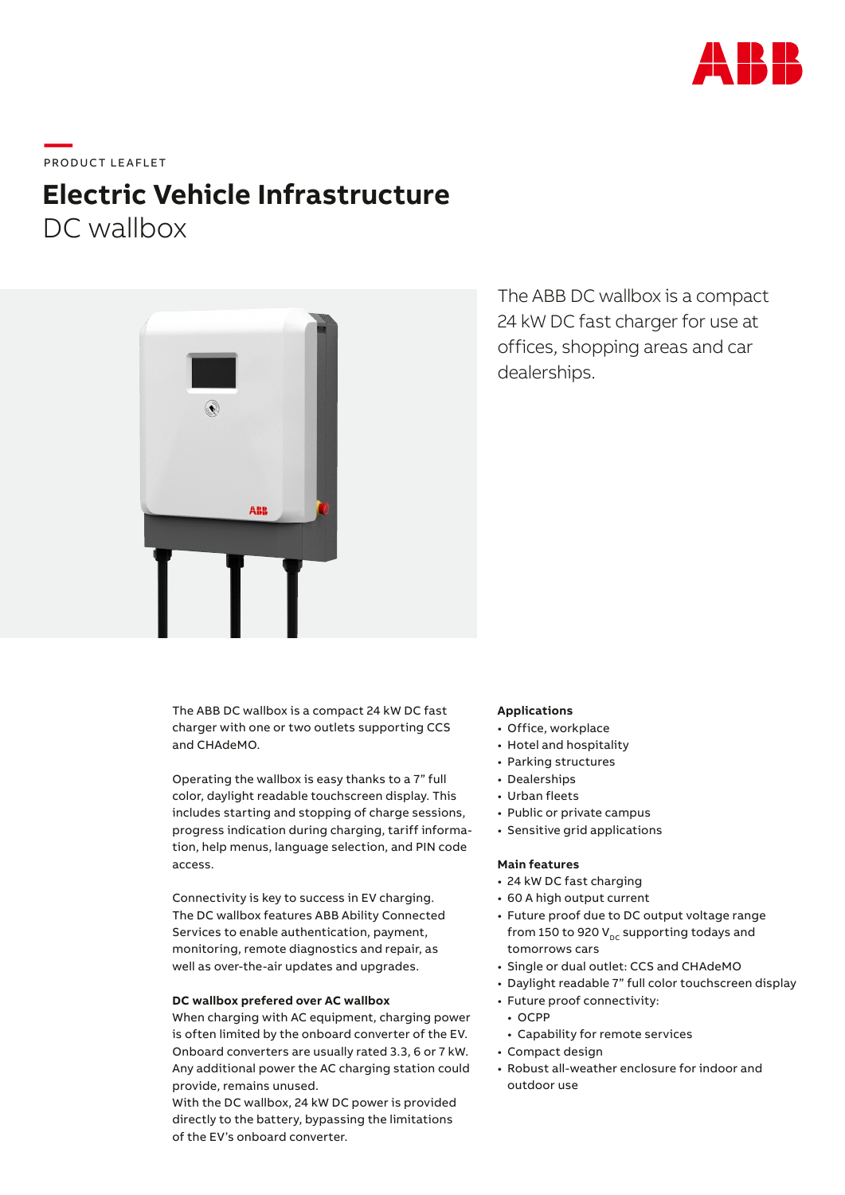

**\_\_\_\_**<br>PRODUCT LEAFLET

# **Electric Vehicle Infrastructure** DC wallbox



The ABB DC wallbox is a compact 24 kW DC fast charger for use at offices, shopping areas and car dealerships.

The ABB DC wallbox is a compact 24 kW DC fast charger with one or two outlets supporting CCS and CHAdeMO.

Operating the wallbox is easy thanks to a 7" full color, daylight readable touchscreen display. This includes starting and stopping of charge sessions, progress indication during charging, tariff information, help menus, language selection, and PIN code access.

Connectivity is key to success in EV charging. The DC wallbox features ABB Ability Connected Services to enable authentication, payment, monitoring, remote diagnostics and repair, as well as over-the-air updates and upgrades.

## **DC wallbox prefered over AC wallbox**

When charging with AC equipment, charging power is often limited by the onboard converter of the EV. Onboard converters are usually rated 3.3, 6 or 7 kW. Any additional power the AC charging station could provide, remains unused.

With the DC wallbox, 24 kW DC power is provided directly to the battery, bypassing the limitations of the EV's onboard converter.

#### **Applications**

- Office, workplace
- Hotel and hospitality
- Parking structures
- Dealerships
- Urban fleets
- Public or private campus
- Sensitive grid applications

#### **Main features**

- 24 kW DC fast charging
- 60 A high output current
- Future proof due to DC output voltage range from 150 to 920  $V_{DC}$  supporting todays and tomorrows cars
- Single or dual outlet: CCS and CHAdeMO
- Daylight readable 7" full color touchscreen display
- Future proof connectivity:
	- OCPP
	- Capability for remote services
- Compact design
- Robust all-weather enclosure for indoor and outdoor use